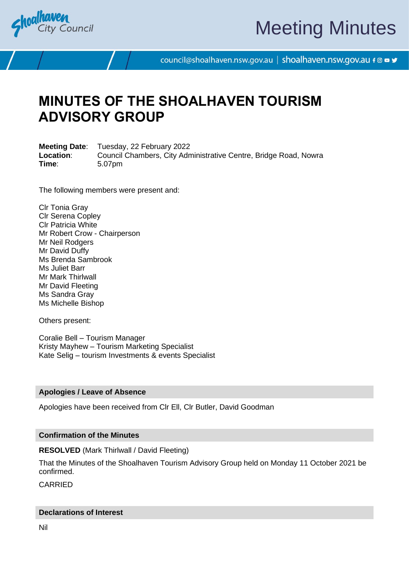

# Meeting Minutes

council@shoalhaven.nsw.gov.au | shoalhaven.nsw.gov.au f @ ■ y

## **MINUTES OF THE SHOALHAVEN TOURISM ADVISORY GROUP**

**Meeting Date**: Tuesday, 22 February 2022 **Location:** Council Chambers, City Administrative Centre, Bridge Road, Nowra **Time**: 5.07pm

The following members were present and:

Clr Tonia Gray Clr Serena Copley Clr Patricia White Mr Robert Crow - Chairperson Mr Neil Rodgers Mr David Duffy Ms Brenda Sambrook Ms Juliet Barr Mr Mark Thirlwall Mr David Fleeting Ms Sandra Gray Ms Michelle Bishop

Others present:

Coralie Bell – Tourism Manager Kristy Mayhew – Tourism Marketing Specialist Kate Selig – tourism Investments & events Specialist

#### **Apologies / Leave of Absence**

Apologies have been received from Clr Ell, Clr Butler, David Goodman

#### **Confirmation of the Minutes**

**RESOLVED** (Mark Thirlwall / David Fleeting)

That the Minutes of the Shoalhaven Tourism Advisory Group held on Monday 11 October 2021 be confirmed.

CARRIED

#### **Declarations of Interest**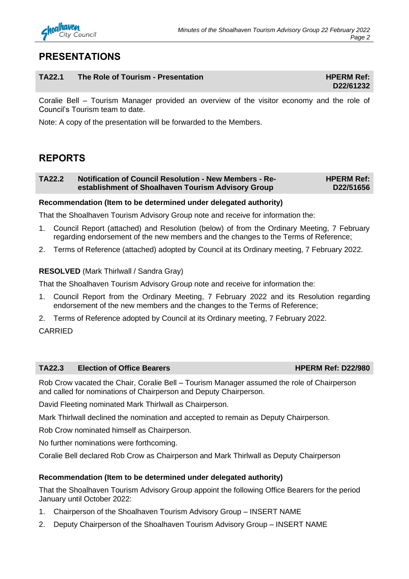### **PRESENTATIONS**

#### **TA22.1** The Role of Tourism - Presentation **EXALC 2008** HPERM Ref:

## **D22/61232**

Coralie Bell – Tourism Manager provided an overview of the visitor economy and the role of Council's Tourism team to date.

Note: A copy of the presentation will be forwarded to the Members.

### **REPORTS**

#### **TA22.2 Notification of Council Resolution - New Members - Reestablishment of Shoalhaven Tourism Advisory Group HPERM Ref: D22/51656**

#### **Recommendation (Item to be determined under delegated authority)**

That the Shoalhaven Tourism Advisory Group note and receive for information the:

- 1. Council Report (attached) and Resolution (below) of from the Ordinary Meeting, 7 February regarding endorsement of the new members and the changes to the Terms of Reference;
- 2. Terms of Reference (attached) adopted by Council at its Ordinary meeting, 7 February 2022.

#### **RESOLVED** (Mark Thirlwall / Sandra Gray)

That the Shoalhaven Tourism Advisory Group note and receive for information the:

- 1. Council Report from the Ordinary Meeting, 7 February 2022 and its Resolution regarding endorsement of the new members and the changes to the Terms of Reference;
- 2. Terms of Reference adopted by Council at its Ordinary meeting, 7 February 2022.

CARRIED

#### **TA22.3 Election of Office Bearers HPERM Ref: D22/980**

Rob Crow vacated the Chair, Coralie Bell – Tourism Manager assumed the role of Chairperson and called for nominations of Chairperson and Deputy Chairperson.

David Fleeting nominated Mark Thirlwall as Chairperson.

Mark Thirlwall declined the nomination and accepted to remain as Deputy Chairperson.

Rob Crow nominated himself as Chairperson.

No further nominations were forthcoming.

Coralie Bell declared Rob Crow as Chairperson and Mark Thirlwall as Deputy Chairperson

#### **Recommendation (Item to be determined under delegated authority)**

That the Shoalhaven Tourism Advisory Group appoint the following Office Bearers for the period January until October 2022:

- 1. Chairperson of the Shoalhaven Tourism Advisory Group INSERT NAME
- 2. Deputy Chairperson of the Shoalhaven Tourism Advisory Group INSERT NAME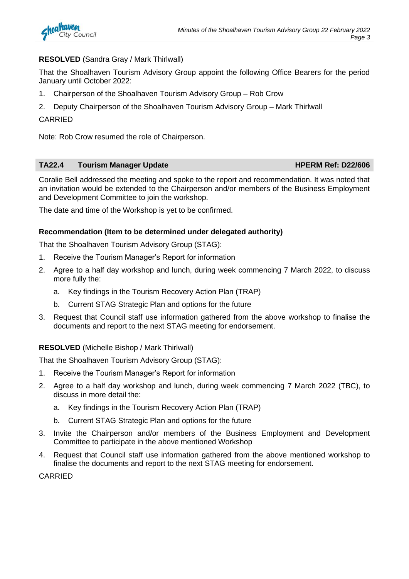#### **RESOLVED** (Sandra Gray / Mark Thirlwall)

That the Shoalhaven Tourism Advisory Group appoint the following Office Bearers for the period January until October 2022:

- 1. Chairperson of the Shoalhaven Tourism Advisory Group Rob Crow
- 2. Deputy Chairperson of the Shoalhaven Tourism Advisory Group Mark Thirlwall

#### **CARRIED**

Note: Rob Crow resumed the role of Chairperson.

#### **TA22.4 Tourism Manager Update HPERM Ref: D22/606**

Coralie Bell addressed the meeting and spoke to the report and recommendation. It was noted that an invitation would be extended to the Chairperson and/or members of the Business Employment and Development Committee to join the workshop.

The date and time of the Workshop is yet to be confirmed.

#### **Recommendation (Item to be determined under delegated authority)**

That the Shoalhaven Tourism Advisory Group (STAG):

- 1. Receive the Tourism Manager's Report for information
- 2. Agree to a half day workshop and lunch, during week commencing 7 March 2022, to discuss more fully the:
	- a. Key findings in the Tourism Recovery Action Plan (TRAP)
	- b. Current STAG Strategic Plan and options for the future
- 3. Request that Council staff use information gathered from the above workshop to finalise the documents and report to the next STAG meeting for endorsement.

#### **RESOLVED** (Michelle Bishop / Mark Thirlwall)

That the Shoalhaven Tourism Advisory Group (STAG):

- 1. Receive the Tourism Manager's Report for information
- 2. Agree to a half day workshop and lunch, during week commencing 7 March 2022 (TBC), to discuss in more detail the:
	- a. Key findings in the Tourism Recovery Action Plan (TRAP)
	- b. Current STAG Strategic Plan and options for the future
- 3. Invite the Chairperson and/or members of the Business Employment and Development Committee to participate in the above mentioned Workshop
- 4. Request that Council staff use information gathered from the above mentioned workshop to finalise the documents and report to the next STAG meeting for endorsement.

CARRIED